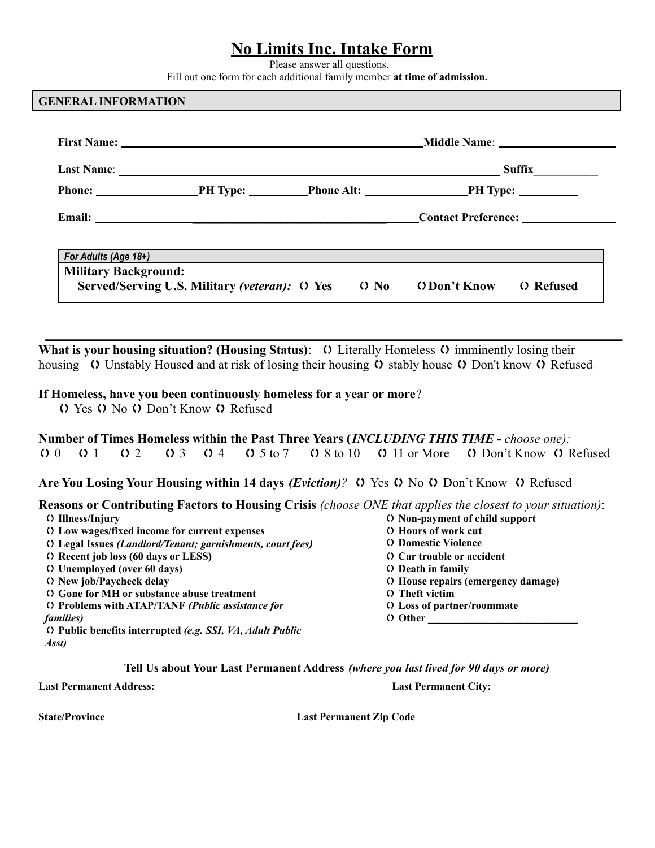## **No Limits Inc. Intake Form**

Please answer all questions.

Fill out one form for each additional family member **at time of admission.**

#### **GENERAL INFORMATION**

|                             | For Adults (Age $18+$ ) $\qquad \qquad$                |  |  |                     |             |
|-----------------------------|--------------------------------------------------------|--|--|---------------------|-------------|
| <b>Military Background:</b> |                                                        |  |  |                     |             |
|                             | Served/Serving U.S. Military (veteran): (1) Yes (1) No |  |  | <b>O</b> Don't Know | (2) Refused |

**What is your housing situation? (Housing Status): (1)** Literally Homeless  $\Omega$  imminently losing their housing  $\Omega$  Unstably Housed and at risk of losing their housing  $\Omega$  stably house  $\Omega$  Don't know  $\Omega$  Refused

#### **If Homeless, have you been continuously homeless for a year or more**?

() Yes () No () Don't Know () Refused

**Number of Times Homeless within the Past Three Years (***INCLUDING THIS TIME - choose one):*  $0 \t 0 \t 1 \t 0 \t 2 \t 0 \t 3 \t 0 \t 4 \t 0 \t 5 \t 6 \t 7 \t 0 \t 8 \t 6 \t 10 \t 0 \t 11 \t 0 \t 10 \t 0$  Don't Know  $0 \t 0$  Refused

Are You Losing Your Housing within 14 days *(Eviction)*?  $\Omega$  Yes  $\Omega$  No  $\Omega$  Don't Know  $\Omega$  Refused

**Reasons or Contributing Factors to Housing Crisis** *(choose ONE that applies the closest to your situation)*:

| () Illness/Injury                                           | () Non-payment of child support     |
|-------------------------------------------------------------|-------------------------------------|
| () Low wages/fixed income for current expenses              | <b>C</b> Hours of work cut          |
| () Legal Issues (Landlord/Tenant; garnishments, court fees) | <b>(1) Domestic Violence</b>        |
| C Recent job loss (60 days or LESS)                         | <b>Car trouble or accident</b>      |
| C Unemployed (over 60 days)                                 | (b) Death in family                 |
| O New job/Paycheck delay                                    | () House repairs (emergency damage) |
| () Gone for MH or substance abuse treatment                 | <b>()</b> Theft victim              |
| () Problems with ATAP/TANF (Public assistance for           | <b>(1)</b> Loss of partner/roommate |
| families)                                                   | () Other                            |
| () Public benefits interrupted (e.g. SSI, VA, Adult Public  |                                     |
| Asst)                                                       |                                     |
|                                                             |                                     |

**Tell Us about Your Last Permanent Address** *(where you last lived for 90 days or more)*

**Last Permanent Address: Last Permanent City:**

**State/Province Last Permanent Zip Code**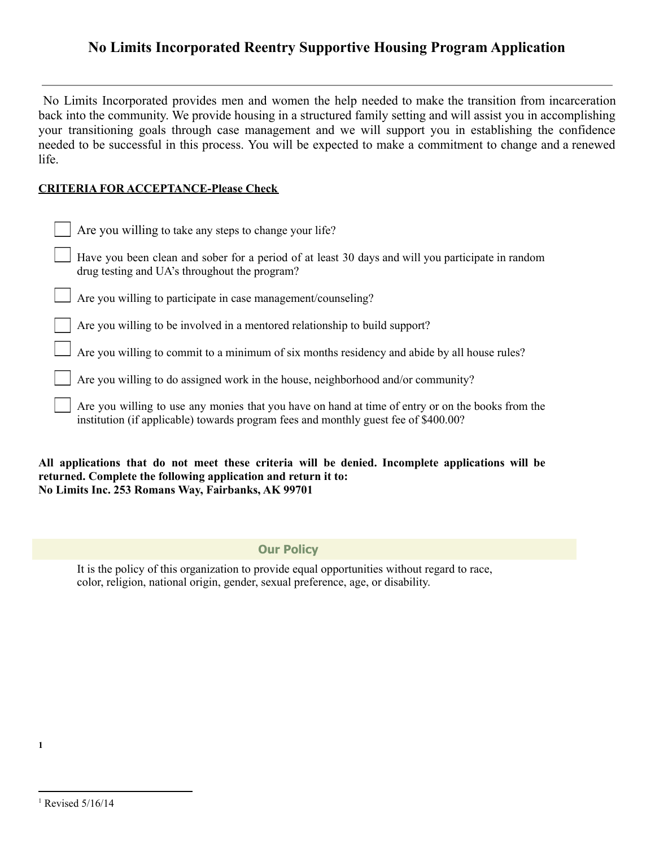## **No Limits Incorporated Reentry Supportive Housing Program Application**

No Limits Incorporated provides men and women the help needed to make the transition from incarceration back into the community. We provide housing in a structured family setting and will assist you in accomplishing your transitioning goals through case management and we will support you in establishing the confidence needed to be successful in this process. You will be expected to make a commitment to change and a renewed life.

### **CRITERIA FOR ACCEPTANCE-Please Check**

| Are you willing to take any steps to change your life?                                                                                                                                   |
|------------------------------------------------------------------------------------------------------------------------------------------------------------------------------------------|
| Have you been clean and sober for a period of at least 30 days and will you participate in random<br>drug testing and UA's throughout the program?                                       |
| Are you willing to participate in case management/counseling?                                                                                                                            |
| Are you willing to be involved in a mentored relationship to build support?                                                                                                              |
| Are you willing to commit to a minimum of six months residency and abide by all house rules?                                                                                             |
| Are you willing to do assigned work in the house, neighborhood and/or community?                                                                                                         |
| Are you willing to use any monies that you have on hand at time of entry or on the books from the<br>institution (if applicable) towards program fees and monthly guest fee of \$400.00? |

**All applications that do not meet these criteria will be denied. Incomplete applications will be returned. Complete the following application and return it to: No Limits Inc. 253 Romans Way, Fairbanks, AK 99701**

**Our Policy**

It is the policy of this organization to provide equal opportunities without regard to race, color, religion, national origin, gender, sexual preference, age, or disability.

**1**

 $1$  Revised  $5/16/14$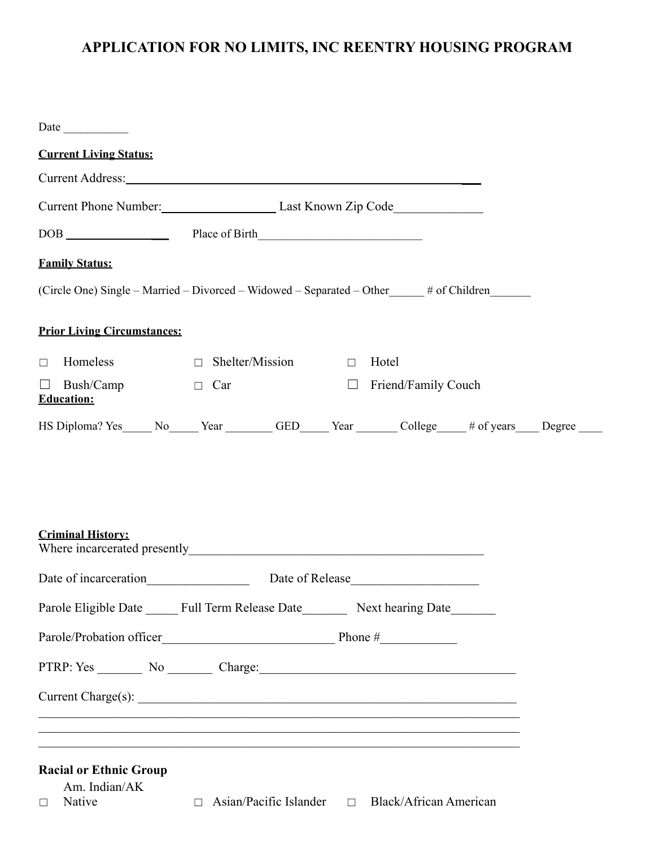# **APPLICATION FOR NO LIMITS, INC REENTRY HOUSING PROGRAM**

| <b>Current Living Status:</b>                                                                        |                                                             |                            |  |  |
|------------------------------------------------------------------------------------------------------|-------------------------------------------------------------|----------------------------|--|--|
| Current Address: No. 2016. The Contract of the Current Address:                                      |                                                             |                            |  |  |
|                                                                                                      | Current Phone Number: Last Known Zip Code                   |                            |  |  |
|                                                                                                      |                                                             |                            |  |  |
| <b>Family Status:</b>                                                                                |                                                             |                            |  |  |
| (Circle One) Single - Married - Divorced - Widowed - Separated - Other _____# of Children __________ |                                                             |                            |  |  |
| <b>Prior Living Circumstances:</b>                                                                   |                                                             |                            |  |  |
| $\Box$<br>Homeless                                                                                   | $\Box$ Shelter/Mission $\Box$ Hotel                         |                            |  |  |
| $\Box$ Bush/Camp<br>Education:                                                                       | $\Box$ Car                                                  | $\Box$ Friend/Family Couch |  |  |
| HS Diploma? Yes No Year GED Year College # of years Degree                                           |                                                             |                            |  |  |
| <b>Criminal History:</b>                                                                             |                                                             |                            |  |  |
| Date of incarceration Elease Late of Release Late of Release Late of Release Late of $\frac{1}{2}$   |                                                             |                            |  |  |
| Parole Eligible Date ______ Full Term Release Date_________ Next hearing Date_______                 |                                                             |                            |  |  |
|                                                                                                      |                                                             |                            |  |  |
| PTRP: Yes _________ No ________ Charge:_                                                             |                                                             |                            |  |  |
|                                                                                                      |                                                             |                            |  |  |
| <b>Racial or Ethnic Group</b><br>Am. Indian/AK<br>Native<br>$\Box$                                   | $\Box$ Asian/Pacific Islander $\Box$ Black/African American |                            |  |  |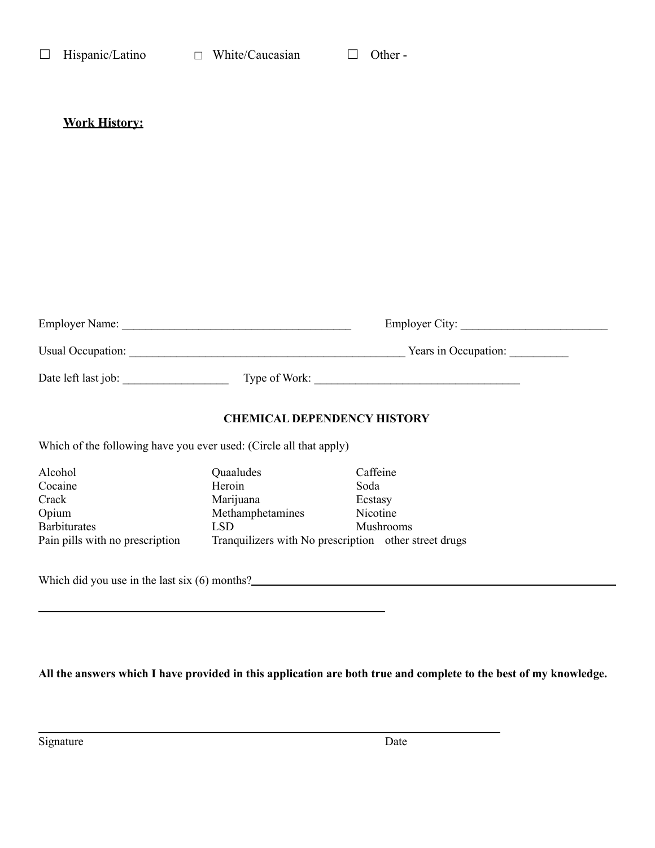## **Work History:**

| <b>Employer Name:</b> |               | <b>Employer City:</b> |
|-----------------------|---------------|-----------------------|
| Usual Occupation:     |               | Years in Occupation:  |
| Date left last job:   | Type of Work: |                       |

### **CHEMICAL DEPENDENCY HISTORY**

Which of the following have you ever used: (Circle all that apply)

| Alcohol                         | Quaaludes                                             | Caffeine         |
|---------------------------------|-------------------------------------------------------|------------------|
| Cocaine                         | Heroin                                                | Soda             |
| Crack                           | Marijuana                                             | Ecstasy          |
| Opium                           | Methamphetamines                                      | Nicotine         |
| <b>Barbiturates</b>             | LSD                                                   | <b>Mushrooms</b> |
| Pain pills with no prescription | Tranquilizers with No prescription other street drugs |                  |

Which did you use in the last six (6) months?<br>
<u>Letting</u> the last six (6) months?

All the answers which I have provided in this application are both true and complete to the best of my knowledge.